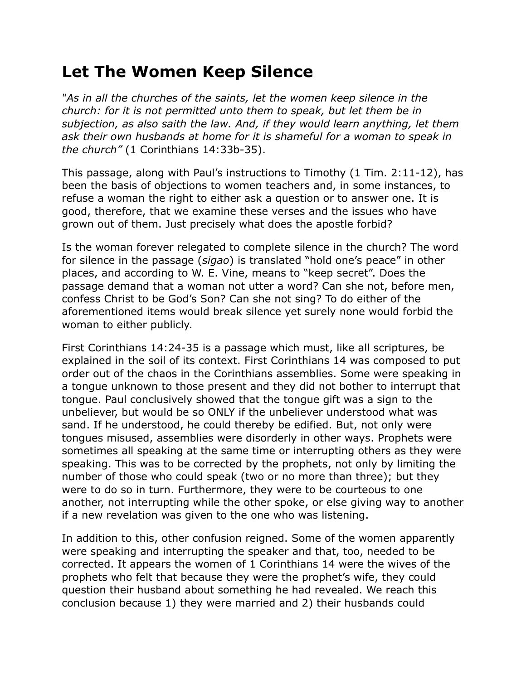## **Let The Women Keep Silence**

*"As in all the churches of the saints, let the women keep silence in the church: for it is not permitted unto them to speak, but let them be in subjection, as also saith the law. And, if they would learn anything, let them ask their own husbands at home for it is shameful for a woman to speak in the church"* (1 Corinthians 14:33b-35).

This passage, along with Paul's instructions to Timothy (1 Tim. 2:11-12), has been the basis of objections to women teachers and, in some instances, to refuse a woman the right to either ask a question or to answer one. It is good, therefore, that we examine these verses and the issues who have grown out of them. Just precisely what does the apostle forbid?

Is the woman forever relegated to complete silence in the church? The word for silence in the passage (*sigao*) is translated "hold one's peace" in other places, and according to W. E. Vine, means to "keep secret". Does the passage demand that a woman not utter a word? Can she not, before men, confess Christ to be God's Son? Can she not sing? To do either of the aforementioned items would break silence yet surely none would forbid the woman to either publicly.

First Corinthians 14:24-35 is a passage which must, like all scriptures, be explained in the soil of its context. First Corinthians 14 was composed to put order out of the chaos in the Corinthians assemblies. Some were speaking in a tongue unknown to those present and they did not bother to interrupt that tongue. Paul conclusively showed that the tongue gift was a sign to the unbeliever, but would be so ONLY if the unbeliever understood what was sand. If he understood, he could thereby be edified. But, not only were tongues misused, assemblies were disorderly in other ways. Prophets were sometimes all speaking at the same time or interrupting others as they were speaking. This was to be corrected by the prophets, not only by limiting the number of those who could speak (two or no more than three); but they were to do so in turn. Furthermore, they were to be courteous to one another, not interrupting while the other spoke, or else giving way to another if a new revelation was given to the one who was listening.

In addition to this, other confusion reigned. Some of the women apparently were speaking and interrupting the speaker and that, too, needed to be corrected. It appears the women of 1 Corinthians 14 were the wives of the prophets who felt that because they were the prophet's wife, they could question their husband about something he had revealed. We reach this conclusion because 1) they were married and 2) their husbands could